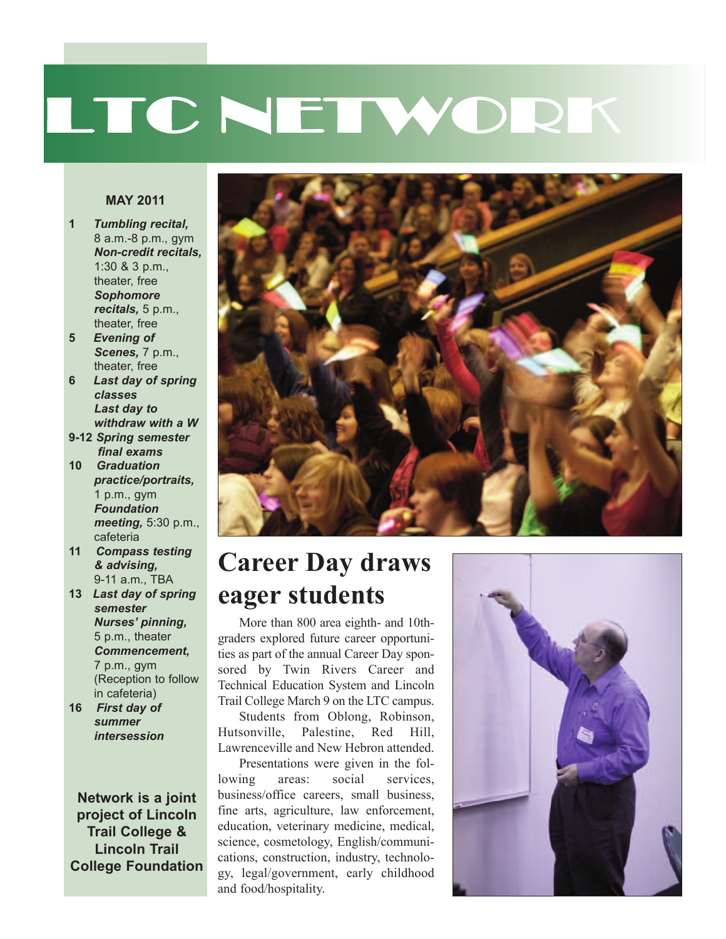# LTC NETWORK

#### **MAY 2011**

- **1** *Tumbling recital,* 8 a.m.-8 p.m., gym *Non-credit recitals,* 1:30 & 3 p.m., theater, free *Sophomore recitals,* 5 p.m., theater, free
- **5** *Evening of Scenes,* 7 p.m., theater, free
- **6** *Last day of spring classes Last day to withdraw with a W*
- **9-12** *Spring semester final exams*
- **10** *Graduation practice/portraits,* 1 p.m., gym *Foundation meeting,* 5:30 p.m., cafeteria
- **11** *Compass testing & advising,* 9-11 a.m., TBA
- **13** *Last day of spring semester Nurses' pinning,* 5 p.m., theater *Commencement,* 7 p.m., gym (Reception to follow in cafeteria)
- **16** *First day of summer intersession*

**Network is a joint project of Lincoln Trail College & Lincoln Trail College Foundation**



#### **Career Day draws eager students**

More than 800 area eighth- and 10thgraders explored future career opportunities as part of the annual Career Day sponsored by Twin Rivers Career and Technical Education System and Lincoln Trail College March 9 on the LTC campus.

Students from Oblong, Robinson, Hutsonville, Palestine, Red Hill, Lawrenceville and New Hebron attended.

Presentations were given in the following areas: social services, business/office careers, small business, fine arts, agriculture, law enforcement, education, veterinary medicine, medical, science, cosmetology, English/communications, construction, industry, technology, legal/government, early childhood and food/hospitality.

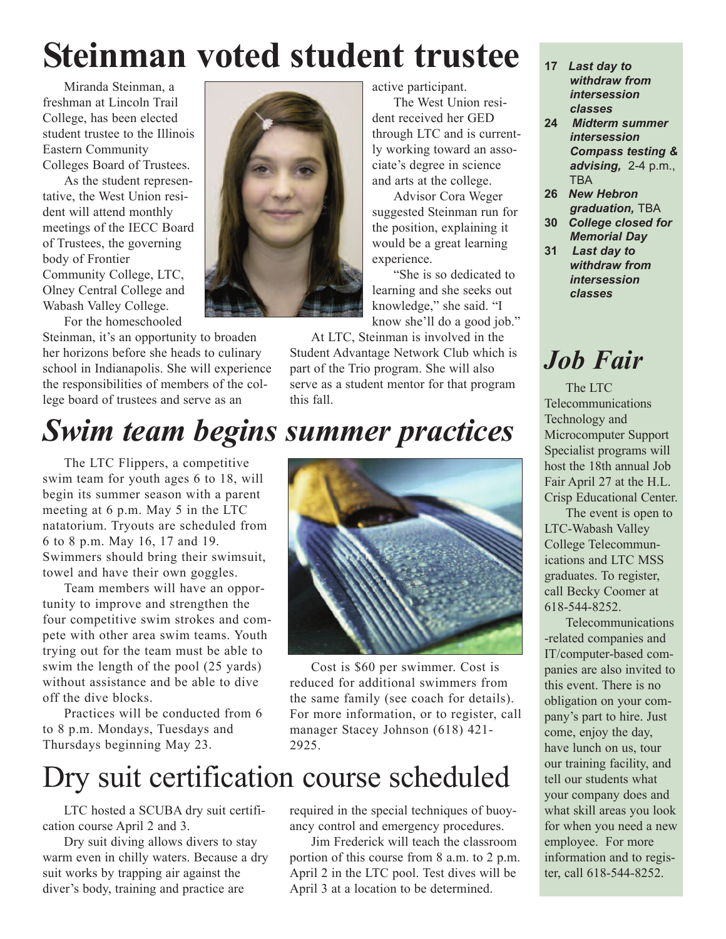## **Steinman voted student trustee**

Miranda Steinman, a freshman at Lincoln Trail College, has been elected student trustee to the Illinois Eastern Community Colleges Board of Trustees.

As the student representative, the West Union resident will attend monthly meetings of the IECC Board of Trustees, the governing body of Frontier Community College, LTC, Olney Central College and Wabash Valley College. For the homeschooled



Steinman, it's an opportunity to broaden her horizons before she heads to culinary school in Indianapolis. She will experience the responsibilities of members of the college board of trustees and serve as an

active participant.

The West Union resident received her GED through LTC and is currently working toward an associate's degree in science and arts at the college.

Advisor Cora Weger suggested Steinman run for the position, explaining it would be a great learning experience.

"She is so dedicated to learning and she seeks out knowledge," she said. "I know she'll do a good job."

At LTC, Steinman is involved in the Student Advantage Network Club which is part of the Trio program. She will also serve as a student mentor for that program this fall.

- **17** *Last day to withdraw from intersession classes*
- **24** *Midterm summer intersession Compass testing & advising,* 2-4 p.m., **TBA**
- **26** *New Hebron graduation,* TBA
- **30** *College closed for Memorial Day*
- **31** *Last day to withdraw from intersession classes*

### *Job Fair*

The LTC Telecommunications Technology and Microcomputer Support Specialist programs will host the 18th annual Job Fair April 27 at the H.L. Crisp Educational Center.

The event is open to LTC-Wabash Valley College Telecommunications and LTC MSS graduates. To register, call Becky Coomer at 618-544-8252.

Telecommunications -related companies and IT/computer-based companies are also invited to this event. There is no obligation on your company's part to hire. Just come, enjoy the day, have lunch on us, tour our training facility, and tell our students what your company does and what skill areas you look for when you need a new employee. For more information and to register, call 618-544-8252.

### *Swim team begins summer practices*

The LTC Flippers, a competitive swim team for youth ages 6 to 18, will begin its summer season with a parent meeting at 6 p.m. May 5 in the LTC natatorium. Tryouts are scheduled from 6 to 8 p.m. May 16, 17 and 19. Swimmers should bring their swimsuit, towel and have their own goggles.

Team members will have an opportunity to improve and strengthen the four competitive swim strokes and compete with other area swim teams. Youth trying out for the team must be able to swim the length of the pool (25 yards) without assistance and be able to dive off the dive blocks.

Practices will be conducted from 6 to 8 p.m. Mondays, Tuesdays and Thursdays beginning May 23.



Cost is \$60 per swimmer. Cost is reduced for additional swimmers from the same family (see coach for details). For more information, or to register, call manager Stacey Johnson (618) 421- 2925.

### Dry suit certification course scheduled

LTC hosted a SCUBA dry suit certification course April 2 and 3.

Dry suit diving allows divers to stay warm even in chilly waters. Because a dry suit works by trapping air against the diver's body, training and practice are

required in the special techniques of buoyancy control and emergency procedures.

Jim Frederick will teach the classroom portion of this course from 8 a.m. to 2 p.m. April 2 in the LTC pool. Test dives will be April 3 at a location to be determined.